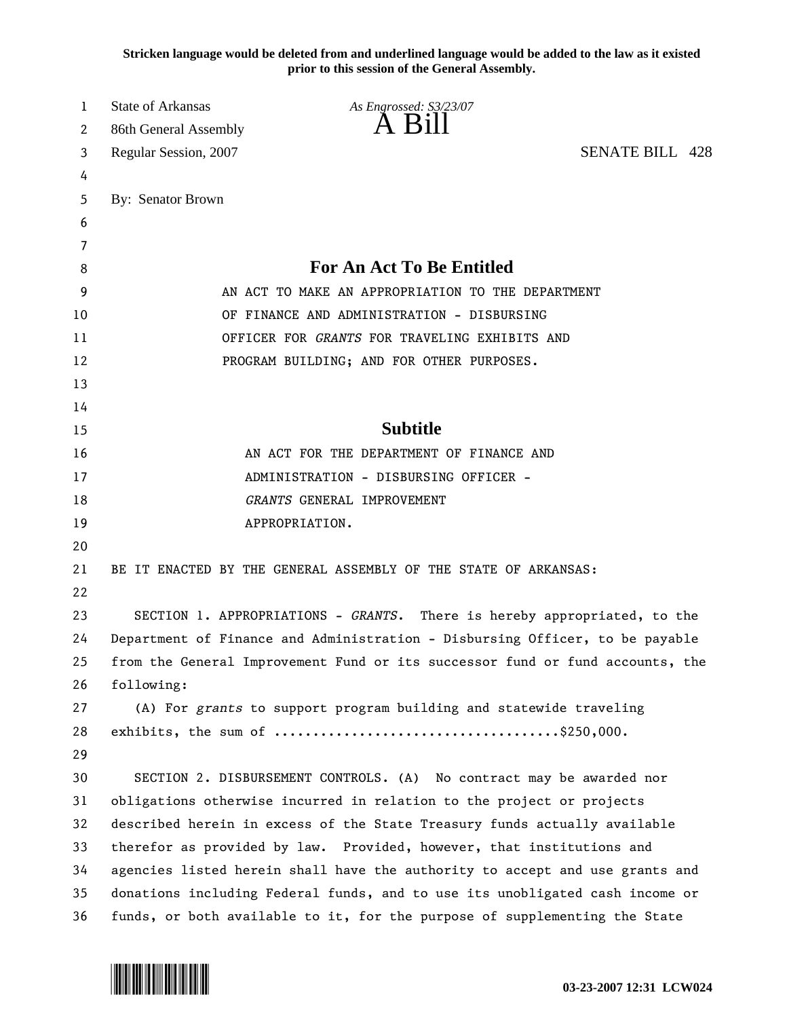**Stricken language would be deleted from and underlined language would be added to the law as it existed prior to this session of the General Assembly.**

| 1  | <b>State of Arkansas</b>                          | As Engrossed: S3/23/07                                                        |                        |  |
|----|---------------------------------------------------|-------------------------------------------------------------------------------|------------------------|--|
| 2  | 86th General Assembly                             | A Bill                                                                        |                        |  |
| 3  | Regular Session, 2007                             |                                                                               | <b>SENATE BILL 428</b> |  |
| 4  |                                                   |                                                                               |                        |  |
| 5  | By: Senator Brown                                 |                                                                               |                        |  |
| 6  |                                                   |                                                                               |                        |  |
| 7  |                                                   |                                                                               |                        |  |
| 8  |                                                   | For An Act To Be Entitled                                                     |                        |  |
| 9  | AN ACT TO MAKE AN APPROPRIATION TO THE DEPARTMENT |                                                                               |                        |  |
| 10 |                                                   | OF FINANCE AND ADMINISTRATION - DISBURSING                                    |                        |  |
| 11 |                                                   | OFFICER FOR GRANTS FOR TRAVELING EXHIBITS AND                                 |                        |  |
| 12 |                                                   | PROGRAM BUILDING; AND FOR OTHER PURPOSES.                                     |                        |  |
| 13 |                                                   |                                                                               |                        |  |
| 14 |                                                   |                                                                               |                        |  |
| 15 |                                                   | <b>Subtitle</b>                                                               |                        |  |
| 16 |                                                   | AN ACT FOR THE DEPARTMENT OF FINANCE AND                                      |                        |  |
| 17 |                                                   | ADMINISTRATION - DISBURSING OFFICER -                                         |                        |  |
| 18 |                                                   | GRANTS GENERAL IMPROVEMENT                                                    |                        |  |
| 19 |                                                   | APPROPRIATION.                                                                |                        |  |
| 20 |                                                   |                                                                               |                        |  |
| 21 |                                                   | BE IT ENACTED BY THE GENERAL ASSEMBLY OF THE STATE OF ARKANSAS:               |                        |  |
| 22 |                                                   |                                                                               |                        |  |
| 23 |                                                   | SECTION 1. APPROPRIATIONS - GRANTS. There is hereby appropriated, to the      |                        |  |
| 24 |                                                   | Department of Finance and Administration - Disbursing Officer, to be payable  |                        |  |
| 25 |                                                   | from the General Improvement Fund or its successor fund or fund accounts, the |                        |  |
| 26 | following:                                        |                                                                               |                        |  |
| 27 |                                                   | (A) For grants to support program building and statewide traveling            |                        |  |
| 28 |                                                   |                                                                               |                        |  |
| 29 |                                                   |                                                                               |                        |  |
| 30 |                                                   | SECTION 2. DISBURSEMENT CONTROLS. (A) No contract may be awarded nor          |                        |  |
| 31 |                                                   | obligations otherwise incurred in relation to the project or projects         |                        |  |
| 32 |                                                   | described herein in excess of the State Treasury funds actually available     |                        |  |
| 33 |                                                   | therefor as provided by law. Provided, however, that institutions and         |                        |  |
| 34 |                                                   | agencies listed herein shall have the authority to accept and use grants and  |                        |  |
| 35 |                                                   | donations including Federal funds, and to use its unobligated cash income or  |                        |  |
| 36 |                                                   | funds, or both available to it, for the purpose of supplementing the State    |                        |  |